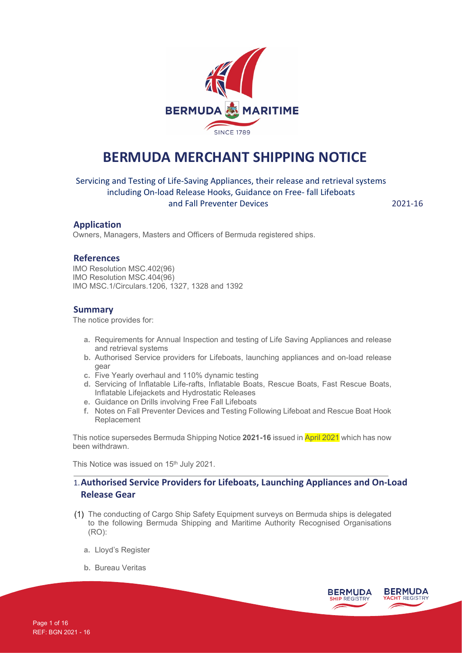

# **BERMUDA MERCHANT SHIPPING NOTICE**

Servicing and Testing of Life-Saving Appliances, their release and retrieval systems including On-load Release Hooks, Guidance on Free- fall Lifeboats and Fall Preventer Devices 2021-16

### **Application**

Owners, Managers, Masters and Officers of Bermuda registered ships.

#### **References**

IMO Resolution MSC.402(96) IMO Resolution MSC.404(96) IMO MSC.1/Circulars.1206, 1327, 1328 and 1392

#### **Summary**

The notice provides for:

- **a.** Requirements for Annual Inspection and testing of Life Saving Appliances and release and retrieval systems
- **b.** Authorised Service providers for Lifeboats, launching appliances and on-load release gear
- **c.** Five Yearly overhaul and 110% dynamic testing
- **d.** Servicing of Inflatable Life-rafts, Inflatable Boats, Rescue Boats, Fast Rescue Boats, Inflatable Lifejackets and Hydrostatic Releases
- **e.** Guidance on Drills involving Free Fall Lifeboats
- **f.** Notes on Fall Preventer Devices and Testing Following Lifeboat and Rescue Boat Hook Replacement

This notice supersedes Bermuda Shipping Notice **2021-16** issued in April 2021 which has now been withdrawn.

This Notice was issued on 15<sup>th</sup> July 2021.

## 1.**Authorised Service Providers for Lifeboats, Launching Appliances and On-Load Release Gear**

- The conducting of Cargo Ship Safety Equipment surveys on Bermuda ships is delegated to the following Bermuda Shipping and Maritime Authority Recognised Organisations (RO):
	- **a.** Lloyd's Register
	- **b.** Bureau Veritas

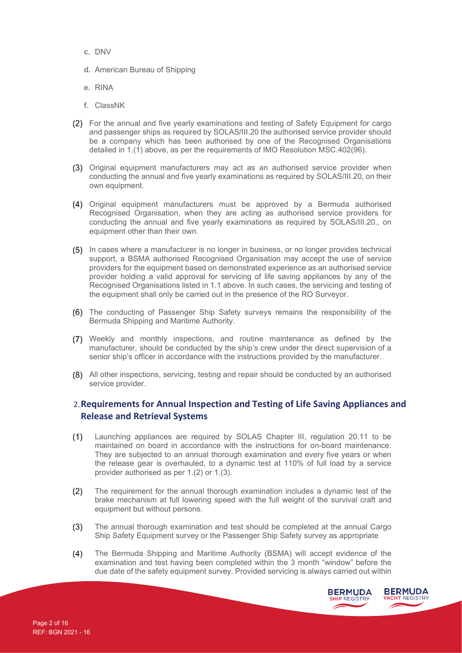- **c.** DNV
- **d.** American Bureau of Shipping
- **e.** RINA
- **f.** ClassNK
- For the annual and five yearly examinations and testing of Safety Equipment for cargo and passenger ships as required by SOLAS/III.20 the authorised service provider should be a company which has been authorised by one of the Recognised Organisations detailed in 1.(1) above, as per the requirements of IMO Resolution MSC.402(96).
- (3) Original equipment manufacturers may act as an authorised service provider when conducting the annual and five yearly examinations as required by SOLAS/III.20, on their own equipment.
- Original equipment manufacturers must be approved by a Bermuda authorised Recognised Organisation, when they are acting as authorised service providers for conducting the annual and five yearly examinations as required by SOLAS/III.20., on equipment other than their own.
- (5) In cases where a manufacturer is no longer in business, or no longer provides technical support, a BSMA authorised Recognised Organisation may accept the use of service providers for the equipment based on demonstrated experience as an authorised service provider holding a valid approval for servicing of life saving appliances by any of the Recognised Organisations listed in 1.1 above. In such cases, the servicing and testing of the equipment shall only be carried out in the presence of the RO Surveyor.
- The conducting of Passenger Ship Safety surveys remains the responsibility of the Bermuda Shipping and Maritime Authority.
- Weekly and monthly inspections, and routine maintenance as defined by the manufacturer, should be conducted by the ship's crew under the direct supervision of a senior ship's officer in accordance with the instructions provided by the manufacturer.
- All other inspections, servicing, testing and repair should be conducted by an authorised service provider.

## 2.**Requirements for Annual Inspection and Testing of Life Saving Appliances and Release and Retrieval Systems**

- Launching appliances are required by SOLAS Chapter III, regulation 20.11 to be  $(1)$ maintained on board in accordance with the instructions for on-board maintenance. They are subjected to an annual thorough examination and every five years or when the release gear is overhauled, to a dynamic test at 110% of full load by a service provider authorised as per 1.(2) or 1.(3).
- $(2)$ The requirement for the annual thorough examination includes a dynamic test of the brake mechanism at full lowering speed with the full weight of the survival craft and equipment but without persons.
- $(3)$ The annual thorough examination and test should be completed at the annual Cargo Ship Safety Equipment survey or the Passenger Ship Safety survey as appropriate
- $(4)$ The Bermuda Shipping and Maritime Authority (BSMA) will accept evidence of the examination and test having been completed within the 3 month "window" before the due date of the safety equipment survey. Provided servicing is always carried out within

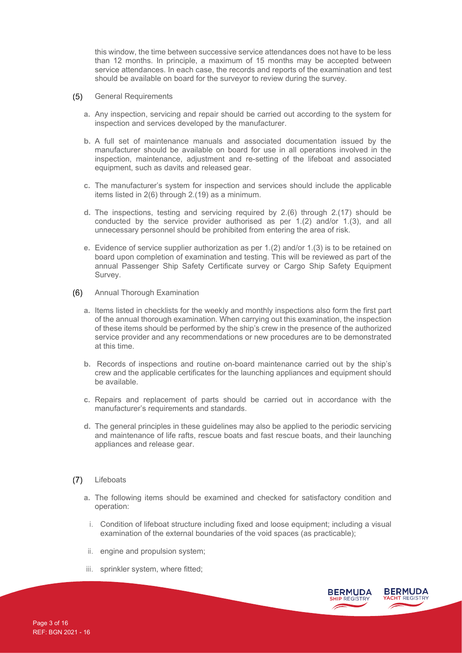this window, the time between successive service attendances does not have to be less than 12 months. In principle, a maximum of 15 months may be accepted between service attendances. In each case, the records and reports of the examination and test should be available on board for the surveyor to review during the survey.

- $(5)$ General Requirements
	- **a.** Any inspection, servicing and repair should be carried out according to the system for inspection and services developed by the manufacturer.
	- **b.** A full set of maintenance manuals and associated documentation issued by the manufacturer should be available on board for use in all operations involved in the inspection, maintenance, adjustment and re-setting of the lifeboat and associated equipment, such as davits and released gear.
	- **c.** The manufacturer's system for inspection and services should include the applicable items listed in 2(6) through 2.(19) as a minimum.
	- **d.** The inspections, testing and servicing required by 2.(6) through 2.(17) should be conducted by the service provider authorised as per 1.(2) and/or 1.(3), and all unnecessary personnel should be prohibited from entering the area of risk.
	- **e.** Evidence of service supplier authorization as per 1.(2) and/or 1.(3) is to be retained on board upon completion of examination and testing. This will be reviewed as part of the annual Passenger Ship Safety Certificate survey or Cargo Ship Safety Equipment Survey.
- Annual Thorough Examination  $(6)$ 
	- **a.** Items listed in checklists for the weekly and monthly inspections also form the first part of the annual thorough examination. When carrying out this examination, the inspection of these items should be performed by the ship's crew in the presence of the authorized service provider and any recommendations or new procedures are to be demonstrated at this time.
	- **b.** Records of inspections and routine on-board maintenance carried out by the ship's crew and the applicable certificates for the launching appliances and equipment should be available.
	- **c.** Repairs and replacement of parts should be carried out in accordance with the manufacturer's requirements and standards.
	- **d.** The general principles in these guidelines may also be applied to the periodic servicing and maintenance of life rafts, rescue boats and fast rescue boats, and their launching appliances and release gear.
- $(7)$ **Lifeboats** 
	- **a.** The following items should be examined and checked for satisfactory condition and operation:
		- i. Condition of lifeboat structure including fixed and loose equipment; including a visual examination of the external boundaries of the void spaces (as practicable);
	- ii. engine and propulsion system;
	- iii. sprinkler system, where fitted;

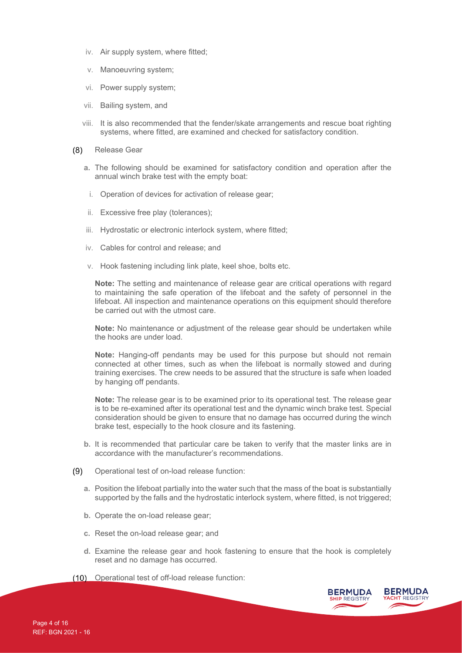- iv. Air supply system, where fitted;
- v. Manoeuvring system;
- vi. Power supply system;
- vii. Bailing system, and
- viii. It is also recommended that the fender/skate arrangements and rescue boat righting systems, where fitted, are examined and checked for satisfactory condition.
- Release Gear  $(8)$ 
	- **a.** The following should be examined for satisfactory condition and operation after the annual winch brake test with the empty boat:
		- i. Operation of devices for activation of release gear;
	- ii. Excessive free play (tolerances);
	- iii. Hydrostatic or electronic interlock system, where fitted;
	- iv. Cables for control and release; and
	- v. Hook fastening including link plate, keel shoe, bolts etc.

**Note:** The setting and maintenance of release gear are critical operations with regard to maintaining the safe operation of the lifeboat and the safety of personnel in the lifeboat. All inspection and maintenance operations on this equipment should therefore be carried out with the utmost care.

**Note:** No maintenance or adjustment of the release gear should be undertaken while the hooks are under load.

**Note:** Hanging-off pendants may be used for this purpose but should not remain connected at other times, such as when the lifeboat is normally stowed and during training exercises. The crew needs to be assured that the structure is safe when loaded by hanging off pendants.

**Note:** The release gear is to be examined prior to its operational test. The release gear is to be re-examined after its operational test and the dynamic winch brake test. Special consideration should be given to ensure that no damage has occurred during the winch brake test, especially to the hook closure and its fastening.

- **b.** It is recommended that particular care be taken to verify that the master links are in accordance with the manufacturer's recommendations.
- $(9)$ Operational test of on-load release function:
	- **a.** Position the lifeboat partially into the water such that the mass of the boat is substantially supported by the falls and the hydrostatic interlock system, where fitted, is not triggered;
	- **b.** Operate the on-load release gear;
	- **c.** Reset the on-load release gear; and
	- **d.** Examine the release gear and hook fastening to ensure that the hook is completely reset and no damage has occurred.
- (10) Operational test of off-load release function:

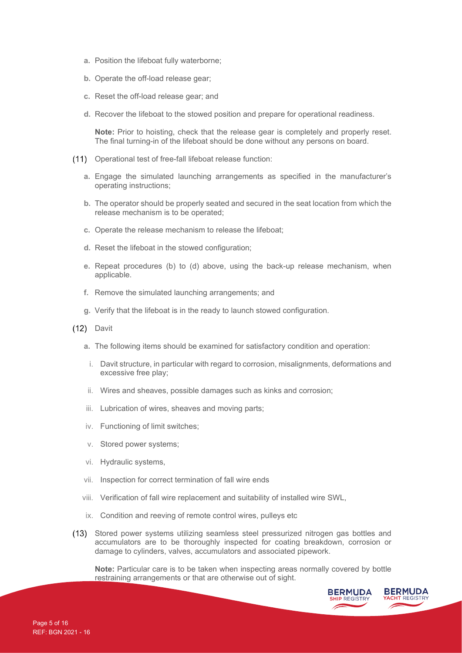- **a.** Position the lifeboat fully waterborne;
- **b.** Operate the off-load release gear;
- **c.** Reset the off-load release gear; and
- **d.** Recover the lifeboat to the stowed position and prepare for operational readiness.

**Note:** Prior to hoisting, check that the release gear is completely and properly reset. The final turning-in of the lifeboat should be done without any persons on board.

- (11) Operational test of free-fall lifeboat release function:
	- **a.** Engage the simulated launching arrangements as specified in the manufacturer's operating instructions;
	- **b.** The operator should be properly seated and secured in the seat location from which the release mechanism is to be operated;
	- **c.** Operate the release mechanism to release the lifeboat;
	- **d.** Reset the lifeboat in the stowed configuration;
	- **e.** Repeat procedures (b) to (d) above, using the back-up release mechanism, when applicable.
	- **f.** Remove the simulated launching arrangements; and
	- **g.** Verify that the lifeboat is in the ready to launch stowed configuration.
- (12) Davit
	- **a.** The following items should be examined for satisfactory condition and operation:
		- i. Davit structure, in particular with regard to corrosion, misalignments, deformations and excessive free play;
	- ii. Wires and sheaves, possible damages such as kinks and corrosion;
	- iii. Lubrication of wires, sheaves and moving parts;
	- iv. Functioning of limit switches;
	- v. Stored power systems;
	- vi. Hydraulic systems,
	- vii. Inspection for correct termination of fall wire ends
	- viii. Verification of fall wire replacement and suitability of installed wire SWL,
	- ix. Condition and reeving of remote control wires, pulleys etc
- Stored power systems utilizing seamless steel pressurized nitrogen gas bottles and accumulators are to be thoroughly inspected for coating breakdown, corrosion or damage to cylinders, valves, accumulators and associated pipework.

**Note:** Particular care is to be taken when inspecting areas normally covered by bottle restraining arrangements or that are otherwise out of sight.

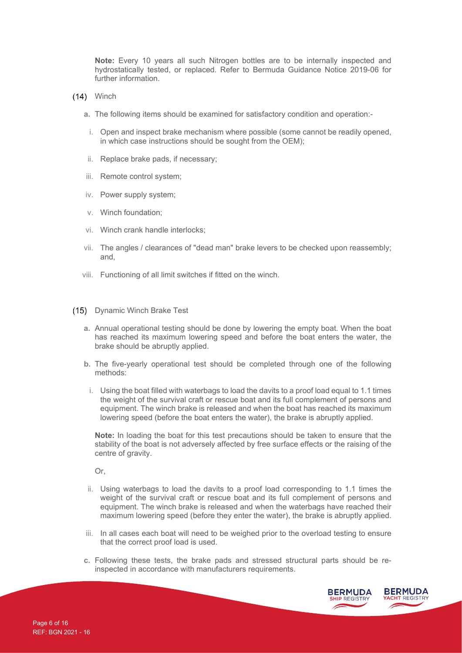**Note:** Every 10 years all such Nitrogen bottles are to be internally inspected and hydrostatically tested, or replaced. Refer to Bermuda Guidance Notice 2019-06 for further information.

- $(14)$  Winch
	- **a.** The following items should be examined for satisfactory condition and operation:-
	- i. Open and inspect brake mechanism where possible (some cannot be readily opened, in which case instructions should be sought from the OEM);
	- ii. Replace brake pads, if necessary;
	- iii. Remote control system;
	- iv. Power supply system;
	- v. Winch foundation;
	- vi. Winch crank handle interlocks;
	- vii. The angles / clearances of "dead man" brake levers to be checked upon reassembly; and,
	- viii. Functioning of all limit switches if fitted on the winch.
- (15) Dynamic Winch Brake Test
	- **a.** Annual operational testing should be done by lowering the empty boat. When the boat has reached its maximum lowering speed and before the boat enters the water, the brake should be abruptly applied.
	- **b.** The five-yearly operational test should be completed through one of the following methods:
		- i. Using the boat filled with waterbags to load the davits to a proof load equal to 1.1 times the weight of the survival craft or rescue boat and its full complement of persons and equipment. The winch brake is released and when the boat has reached its maximum lowering speed (before the boat enters the water), the brake is abruptly applied.

**Note:** In loading the boat for this test precautions should be taken to ensure that the stability of the boat is not adversely affected by free surface effects or the raising of the centre of gravity.

Or,

- ii. Using waterbags to load the davits to a proof load corresponding to 1.1 times the weight of the survival craft or rescue boat and its full complement of persons and equipment. The winch brake is released and when the waterbags have reached their maximum lowering speed (before they enter the water), the brake is abruptly applied.
- iii. In all cases each boat will need to be weighed prior to the overload testing to ensure that the correct proof load is used.
- **c.** Following these tests, the brake pads and stressed structural parts should be reinspected in accordance with manufacturers requirements.

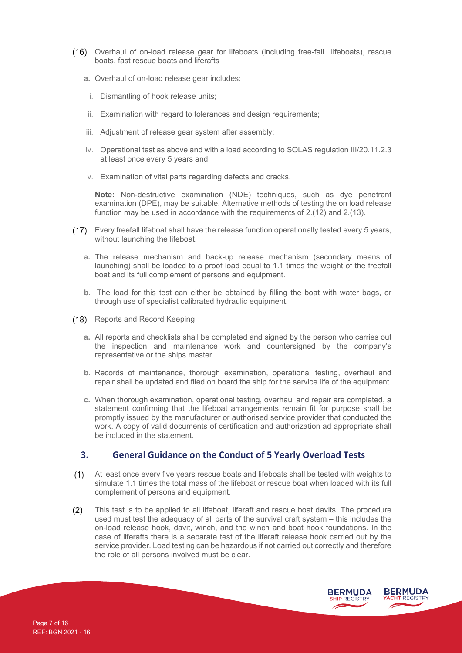- Overhaul of on-load release gear for lifeboats (including free-fall lifeboats), rescue boats, fast rescue boats and liferafts
	- **a.** Overhaul of on-load release gear includes:
		- i. Dismantling of hook release units;
	- ii. Examination with regard to tolerances and design requirements;
	- iii. Adjustment of release gear system after assembly;
	- iv. Operational test as above and with a load according to SOLAS regulation III/20.11.2.3 at least once every 5 years and,
	- v. Examination of vital parts regarding defects and cracks.

**Note:** Non-destructive examination (NDE) techniques, such as dye penetrant examination (DPE), may be suitable. Alternative methods of testing the on load release function may be used in accordance with the requirements of 2.(12) and 2.(13).

- Every freefall lifeboat shall have the release function operationally tested every 5 years, without launching the lifeboat.
	- **a.** The release mechanism and back-up release mechanism (secondary means of launching) shall be loaded to a proof load equal to 1.1 times the weight of the freefall boat and its full complement of persons and equipment.
	- **b.** The load for this test can either be obtained by filling the boat with water bags, or through use of specialist calibrated hydraulic equipment.
- (18) Reports and Record Keeping
	- **a.** All reports and checklists shall be completed and signed by the person who carries out the inspection and maintenance work and countersigned by the company's representative or the ships master.
	- **b.** Records of maintenance, thorough examination, operational testing, overhaul and repair shall be updated and filed on board the ship for the service life of the equipment.
	- **c.** When thorough examination, operational testing, overhaul and repair are completed, a statement confirming that the lifeboat arrangements remain fit for purpose shall be promptly issued by the manufacturer or authorised service provider that conducted the work. A copy of valid documents of certification and authorization ad appropriate shall be included in the statement.

## **3. General Guidance on the Conduct of 5 Yearly Overload Tests**

- $(1)$ At least once every five years rescue boats and lifeboats shall be tested with weights to simulate 1.1 times the total mass of the lifeboat or rescue boat when loaded with its full complement of persons and equipment.
- $(2)$ This test is to be applied to all lifeboat, liferaft and rescue boat davits. The procedure used must test the adequacy of all parts of the survival craft system – this includes the on-load release hook, davit, winch, and the winch and boat hook foundations. In the case of liferafts there is a separate test of the liferaft release hook carried out by the service provider. Load testing can be hazardous if not carried out correctly and therefore the role of all persons involved must be clear.

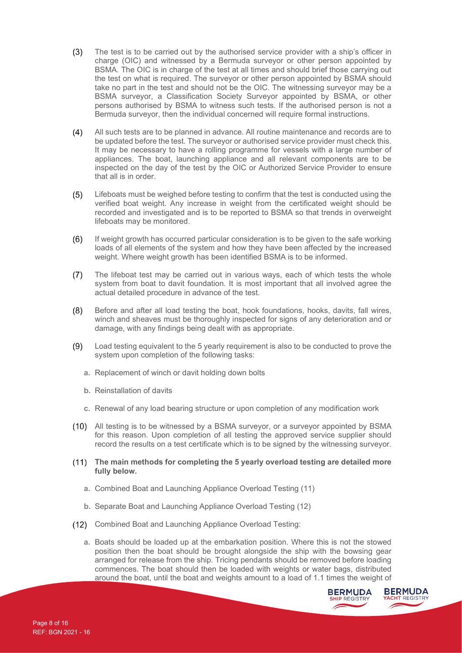- $(3)$ The test is to be carried out by the authorised service provider with a ship's officer in charge (OIC) and witnessed by a Bermuda surveyor or other person appointed by BSMA. The OIC is in charge of the test at all times and should brief those carrying out the test on what is required. The surveyor or other person appointed by BSMA should take no part in the test and should not be the OIC. The witnessing surveyor may be a BSMA surveyor, a Classification Society Surveyor appointed by BSMA, or other persons authorised by BSMA to witness such tests. If the authorised person is not a Bermuda surveyor, then the individual concerned will require formal instructions.
- $(4)$ All such tests are to be planned in advance. All routine maintenance and records are to be updated before the test. The surveyor or authorised service provider must check this. It may be necessary to have a rolling programme for vessels with a large number of appliances. The boat, launching appliance and all relevant components are to be inspected on the day of the test by the OIC or Authorized Service Provider to ensure that all is in order.
- Lifeboats must be weighed before testing to confirm that the test is conducted using the  $(5)$ verified boat weight. Any increase in weight from the certificated weight should be recorded and investigated and is to be reported to BSMA so that trends in overweight lifeboats may be monitored.
- $(6)$ If weight growth has occurred particular consideration is to be given to the safe working loads of all elements of the system and how they have been affected by the increased weight. Where weight growth has been identified BSMA is to be informed.
- $(7)$ The lifeboat test may be carried out in various ways, each of which tests the whole system from boat to davit foundation. It is most important that all involved agree the actual detailed procedure in advance of the test.
- $(8)$ Before and after all load testing the boat, hook foundations, hooks, davits, fall wires, winch and sheaves must be thoroughly inspected for signs of any deterioration and or damage, with any findings being dealt with as appropriate.
- $(9)$ Load testing equivalent to the 5 yearly requirement is also to be conducted to prove the system upon completion of the following tasks:
	- **a.** Replacement of winch or davit holding down bolts
	- **b.** Reinstallation of davits
	- **c.** Renewal of any load bearing structure or upon completion of any modification work
- All testing is to be witnessed by a BSMA surveyor, or a surveyor appointed by BSMA for this reason. Upon completion of all testing the approved service supplier should record the results on a test certificate which is to be signed by the witnessing surveyor.
- **The main methods for completing the 5 yearly overload testing are detailed more fully below.**
	- **a.** Combined Boat and Launching Appliance Overload Testing (11)
	- **b.** Separate Boat and Launching Appliance Overload Testing (12)
- Combined Boat and Launching Appliance Overload Testing:
	- **a.** Boats should be loaded up at the embarkation position. Where this is not the stowed position then the boat should be brought alongside the ship with the bowsing gear arranged for release from the ship. Tricing pendants should be removed before loading commences. The boat should then be loaded with weights or water bags, distributed around the boat, until the boat and weights amount to a load of 1.1 times the weight of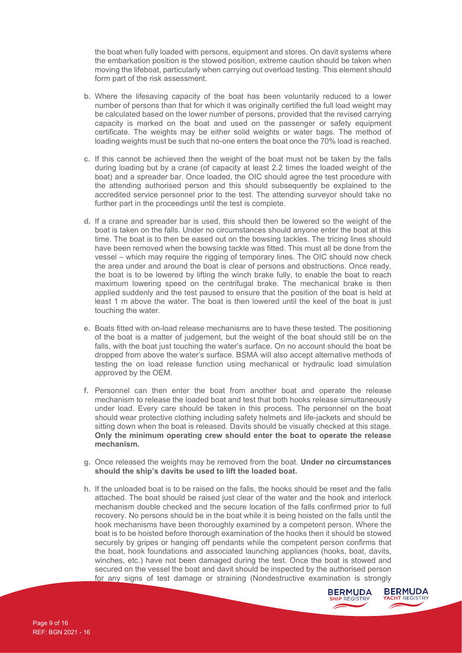the boat when fully loaded with persons, equipment and stores. On davit systems where the embarkation position is the stowed position, extreme caution should be taken when moving the lifeboat, particularly when carrying out overload testing. This element should form part of the risk assessment.

- **b.** Where the lifesaving capacity of the boat has been voluntarily reduced to a lower number of persons than that for which it was originally certified the full load weight may be calculated based on the lower number of persons, provided that the revised carrying capacity is marked on the boat and used on the passenger or safety equipment certificate. The weights may be either solid weights or water bags. The method of loading weights must be such that no-one enters the boat once the 70% load is reached.
- **c.** If this cannot be achieved then the weight of the boat must not be taken by the falls during loading but by a crane (of capacity at least 2.2 times the loaded weight of the boat) and a spreader bar. Once loaded, the OIC should agree the test procedure with the attending authorised person and this should subsequently be explained to the accredited service personnel prior to the test. The attending surveyor should take no further part in the proceedings until the test is complete.
- **d.** If a crane and spreader bar is used, this should then be lowered so the weight of the boat is taken on the falls. Under no circumstances should anyone enter the boat at this time. The boat is to then be eased out on the bowsing tackles. The tricing lines should have been removed when the bowsing tackle was fitted. This must all be done from the vessel – which may require the rigging of temporary lines. The OIC should now check the area under and around the boat is clear of persons and obstructions. Once ready, the boat is to be lowered by lifting the winch brake fully, to enable the boat to reach maximum lowering speed on the centrifugal brake. The mechanical brake is then applied suddenly and the test paused to ensure that the position of the boat is held at least 1 m above the water. The boat is then lowered until the keel of the boat is just touching the water.
- **e.** Boats fitted with on-load release mechanisms are to have these tested. The positioning of the boat is a matter of judgement, but the weight of the boat should still be on the falls, with the boat just touching the water's surface. On no account should the boat be dropped from above the water's surface. BSMA will also accept alternative methods of testing the on load release function using mechanical or hydraulic load simulation approved by the OEM.
- **f.** Personnel can then enter the boat from another boat and operate the release mechanism to release the loaded boat and test that both hooks release simultaneously under load. Every care should be taken in this process. The personnel on the boat should wear protective clothing including safety helmets and life-jackets and should be sitting down when the boat is released. Davits should be visually checked at this stage. **Only the minimum operating crew should enter the boat to operate the release mechanism.**
- **g.** Once released the weights may be removed from the boat. **Under no circumstances should the ship's davits be used to lift the loaded boat.**
- **h.** If the unloaded boat is to be raised on the falls, the hooks should be reset and the falls attached. The boat should be raised just clear of the water and the hook and interlock mechanism double checked and the secure location of the falls confirmed prior to full recovery. No persons should be in the boat while it is being hoisted on the falls until the hook mechanisms have been thoroughly examined by a competent person. Where the boat is to be hoisted before thorough examination of the hooks then it should be stowed securely by gripes or hanging off pendants while the competent person confirms that the boat, hook foundations and associated launching appliances (hooks, boat, davits, winches, etc.) have not been damaged during the test. Once the boat is stowed and secured on the vessel the boat and davit should be inspected by the authorised person for any signs of test damage or straining (Nondestructive examination is strongly

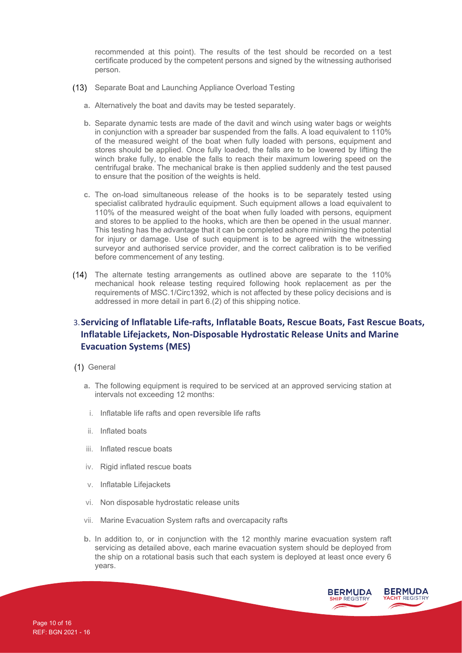recommended at this point). The results of the test should be recorded on a test certificate produced by the competent persons and signed by the witnessing authorised person.

- (13) Separate Boat and Launching Appliance Overload Testing
	- **a.** Alternatively the boat and davits may be tested separately.
	- **b.** Separate dynamic tests are made of the davit and winch using water bags or weights in conjunction with a spreader bar suspended from the falls. A load equivalent to 110% of the measured weight of the boat when fully loaded with persons, equipment and stores should be applied. Once fully loaded, the falls are to be lowered by lifting the winch brake fully, to enable the falls to reach their maximum lowering speed on the centrifugal brake. The mechanical brake is then applied suddenly and the test paused to ensure that the position of the weights is held.
	- **c.** The on-load simultaneous release of the hooks is to be separately tested using specialist calibrated hydraulic equipment. Such equipment allows a load equivalent to 110% of the measured weight of the boat when fully loaded with persons, equipment and stores to be applied to the hooks, which are then be opened in the usual manner. This testing has the advantage that it can be completed ashore minimising the potential for injury or damage. Use of such equipment is to be agreed with the witnessing surveyor and authorised service provider, and the correct calibration is to be verified before commencement of any testing.
- The alternate testing arrangements as outlined above are separate to the 110% mechanical hook release testing required following hook replacement as per the requirements of MSC.1/Circ1392, which is not affected by these policy decisions and is addressed in more detail in part 6.(2) of this shipping notice.

# 3.**Servicing of Inflatable Life-rafts, Inflatable Boats, Rescue Boats, Fast Rescue Boats, Inflatable Lifejackets, Non-Disposable Hydrostatic Release Units and Marine Evacuation Systems (MES)**

- (1) General
	- **a.** The following equipment is required to be serviced at an approved servicing station at intervals not exceeding 12 months:
		- i. Inflatable life rafts and open reversible life rafts
	- ii. Inflated boats
	- iii. Inflated rescue boats
	- iv. Rigid inflated rescue boats
	- v. Inflatable Lifejackets
	- vi. Non disposable hydrostatic release units
	- vii. Marine Evacuation System rafts and overcapacity rafts
	- **b.** In addition to, or in conjunction with the 12 monthly marine evacuation system raft servicing as detailed above, each marine evacuation system should be deployed from the ship on a rotational basis such that each system is deployed at least once every 6 years.

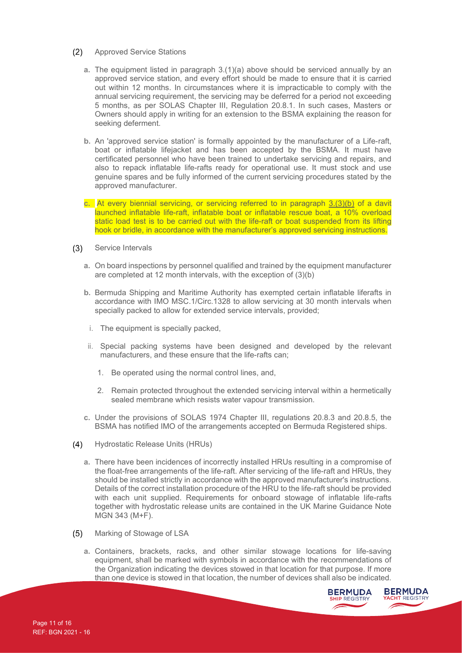- $(2)$ Approved Service Stations
	- **a.** The equipment listed in paragraph 3.(1)(a) above should be serviced annually by an approved service station, and every effort should be made to ensure that it is carried out within 12 months. In circumstances where it is impracticable to comply with the annual servicing requirement, the servicing may be deferred for a period not exceeding 5 months, as per SOLAS Chapter III, Regulation 20.8.1. In such cases, Masters or Owners should apply in writing for an extension to the BSMA explaining the reason for seeking deferment.
	- **b.** An 'approved service station' is formally appointed by the manufacturer of a Life-raft, boat or inflatable lifejacket and has been accepted by the BSMA. It must have certificated personnel who have been trained to undertake servicing and repairs, and also to repack inflatable life-rafts ready for operational use. It must stock and use genuine spares and be fully informed of the current servicing procedures stated by the approved manufacturer.
	- **c.** At every biennial servicing, or servicing referred to in paragraph 3.(3)(b) of a davit launched inflatable life-raft, inflatable boat or inflatable rescue boat, a 10% overload static load test is to be carried out with the life-raft or boat suspended from its lifting hook or bridle, in accordance with the manufacturer's approved servicing instructions.
- $(3)$ Service Intervals
	- **a.** On board inspections by personnel qualified and trained by the equipment manufacturer are completed at 12 month intervals, with the exception of (3)(b)
	- **b.** Bermuda Shipping and Maritime Authority has exempted certain inflatable liferafts in accordance with IMO MSC.1/Circ.1328 to allow servicing at 30 month intervals when specially packed to allow for extended service intervals, provided;
	- i. The equipment is specially packed,
	- ii. Special packing systems have been designed and developed by the relevant manufacturers, and these ensure that the life-rafts can;
		- 1. Be operated using the normal control lines, and,
		- 2. Remain protected throughout the extended servicing interval within a hermetically sealed membrane which resists water vapour transmission.
	- **c.** Under the provisions of SOLAS 1974 Chapter III, regulations 20.8.3 and 20.8.5, the BSMA has notified IMO of the arrangements accepted on Bermuda Registered ships.
- $(4)$ Hydrostatic Release Units (HRUs)
	- **a.** There have been incidences of incorrectly installed HRUs resulting in a compromise of the float-free arrangements of the life-raft. After servicing of the life-raft and HRUs, they should be installed strictly in accordance with the approved manufacturer's instructions. Details of the correct installation procedure of the HRU to the life-raft should be provided with each unit supplied. Requirements for onboard stowage of inflatable life-rafts together with hydrostatic release units are contained in the UK Marine Guidance Note MGN 343 (M+F).
- $(5)$ Marking of Stowage of LSA
	- **a.** Containers, brackets, racks, and other similar stowage locations for life-saving equipment, shall be marked with symbols in accordance with the recommendations of the Organization indicating the devices stowed in that location for that purpose. If more than one device is stowed in that location, the number of devices shall also be indicated.

**BERMUDA** 

YACHT REGISTRY

**BERMUDA SHIP REGISTR**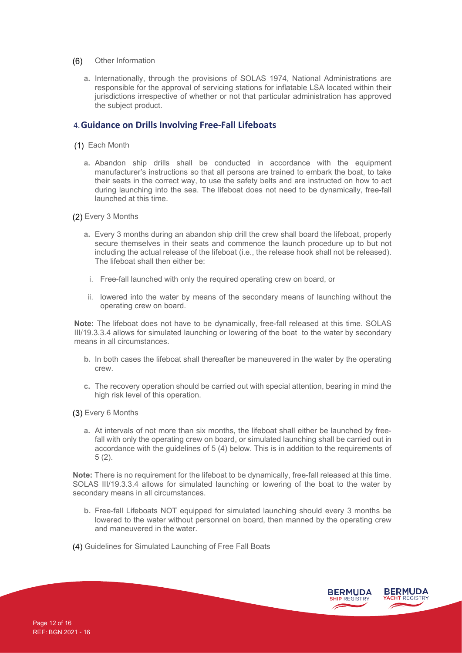- $(6)$ Other Information
	- **a.** Internationally, through the provisions of SOLAS 1974, National Administrations are responsible for the approval of servicing stations for inflatable LSA located within their jurisdictions irrespective of whether or not that particular administration has approved the subject product.

#### 4.**Guidance on Drills Involving Free-Fall Lifeboats**

- (1) Each Month
	- **a.** Abandon ship drills shall be conducted in accordance with the equipment manufacturer's instructions so that all persons are trained to embark the boat, to take their seats in the correct way, to use the safety belts and are instructed on how to act during launching into the sea. The lifeboat does not need to be dynamically, free-fall launched at this time.
- Every 3 Months
	- **a.** Every 3 months during an abandon ship drill the crew shall board the lifeboat, properly secure themselves in their seats and commence the launch procedure up to but not including the actual release of the lifeboat (i.e., the release hook shall not be released). The lifeboat shall then either be:
		- i. Free-fall launched with only the required operating crew on board, or
	- ii. lowered into the water by means of the secondary means of launching without the operating crew on board.

**Note:** The lifeboat does not have to be dynamically, free-fall released at this time. SOLAS III/19.3.3.4 allows for simulated launching or lowering of the boat to the water by secondary means in all circumstances.

- **b.** In both cases the lifeboat shall thereafter be maneuvered in the water by the operating crew.
- **c.** The recovery operation should be carried out with special attention, bearing in mind the high risk level of this operation.

Every 6 Months

**a.** At intervals of not more than six months, the lifeboat shall either be launched by freefall with only the operating crew on board, or simulated launching shall be carried out in accordance with the guidelines of 5 (4) below. This is in addition to the requirements of 5 (2).

**Note:** There is no requirement for the lifeboat to be dynamically, free-fall released at this time. SOLAS III/19.3.3.4 allows for simulated launching or lowering of the boat to the water by secondary means in all circumstances.

- **b.** Free-fall Lifeboats NOT equipped for simulated launching should every 3 months be lowered to the water without personnel on board, then manned by the operating crew and maneuvered in the water.
- (4) Guidelines for Simulated Launching of Free Fall Boats

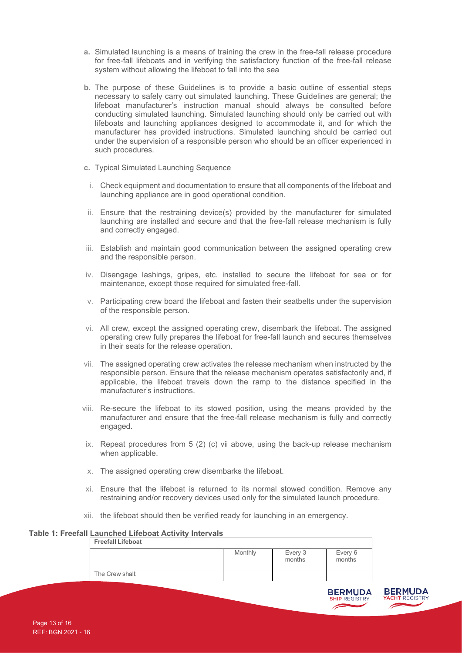- **a.** Simulated launching is a means of training the crew in the free-fall release procedure for free-fall lifeboats and in verifying the satisfactory function of the free-fall release system without allowing the lifeboat to fall into the sea
- **b.** The purpose of these Guidelines is to provide a basic outline of essential steps necessary to safely carry out simulated launching. These Guidelines are general; the lifeboat manufacturer's instruction manual should always be consulted before conducting simulated launching. Simulated launching should only be carried out with lifeboats and launching appliances designed to accommodate it, and for which the manufacturer has provided instructions. Simulated launching should be carried out under the supervision of a responsible person who should be an officer experienced in such procedures.
- **c.** Typical Simulated Launching Sequence
- i. Check equipment and documentation to ensure that all components of the lifeboat and launching appliance are in good operational condition.
- ii. Ensure that the restraining device(s) provided by the manufacturer for simulated launching are installed and secure and that the free-fall release mechanism is fully and correctly engaged.
- iii. Establish and maintain good communication between the assigned operating crew and the responsible person.
- iv. Disengage lashings, gripes, etc. installed to secure the lifeboat for sea or for maintenance, except those required for simulated free-fall.
- v. Participating crew board the lifeboat and fasten their seatbelts under the supervision of the responsible person.
- vi. All crew, except the assigned operating crew, disembark the lifeboat. The assigned operating crew fully prepares the lifeboat for free-fall launch and secures themselves in their seats for the release operation.
- vii. The assigned operating crew activates the release mechanism when instructed by the responsible person. Ensure that the release mechanism operates satisfactorily and, if applicable, the lifeboat travels down the ramp to the distance specified in the manufacturer's instructions.
- viii. Re-secure the lifeboat to its stowed position, using the means provided by the manufacturer and ensure that the free-fall release mechanism is fully and correctly engaged.
- ix. Repeat procedures from  $5$  (2) (c) vii above, using the back-up release mechanism when applicable.
- x. The assigned operating crew disembarks the lifeboat.
- xi. Ensure that the lifeboat is returned to its normal stowed condition. Remove any restraining and/or recovery devices used only for the simulated launch procedure.
- xii. the lifeboat should then be verified ready for launching in an emergency.

**Table 1: Freefall Launched Lifeboat Activity Intervals Freefall Lifeboat**

| ι ισσιαιι Lilσυναι |         |                   |                   |
|--------------------|---------|-------------------|-------------------|
|                    | Monthly | Every 3<br>months | Every 6<br>months |
| The Crew shall:    |         |                   |                   |



**SHIP REGISTR**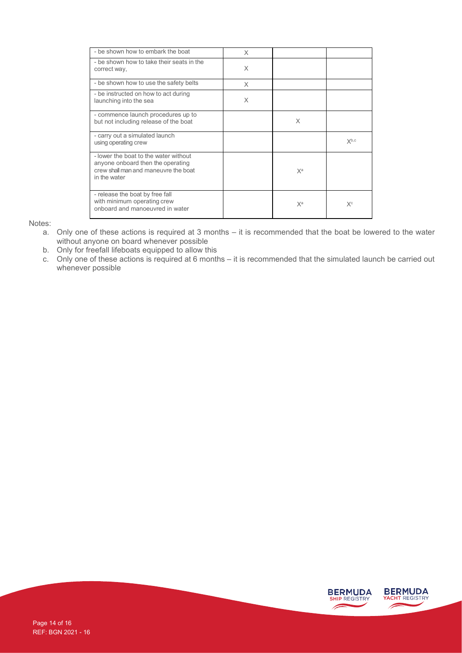| - be shown how to embark the boat                                                                                                  | X |                |           |
|------------------------------------------------------------------------------------------------------------------------------------|---|----------------|-----------|
| - be shown how to take their seats in the<br>correct way,                                                                          | X |                |           |
| - be shown how to use the safety belts                                                                                             | X |                |           |
| - be instructed on how to act during<br>launching into the sea                                                                     | X |                |           |
| - commence launch procedures up to<br>but not including release of the boat                                                        |   | X              |           |
| - carry out a simulated launch<br>using operating crew                                                                             |   |                | $X^{b,c}$ |
| - lower the boat to the water without<br>anyone onboard then the operating<br>crew shall man and maneuvre the boat<br>in the water |   | X <sup>a</sup> |           |
| - release the boat by free fall<br>with minimum operating crew<br>onboard and manoeuvred in water                                  |   | $X^a$          | $X^c$     |

Notes:

- a. Only one of these actions is required at 3 months it is recommended that the boat be lowered to the water without anyone on board whenever possible
- b. Only for freefall lifeboats equipped to allow this
- c. Only one of these actions is required at 6 months it is recommended that the simulated launch be carried out whenever possible

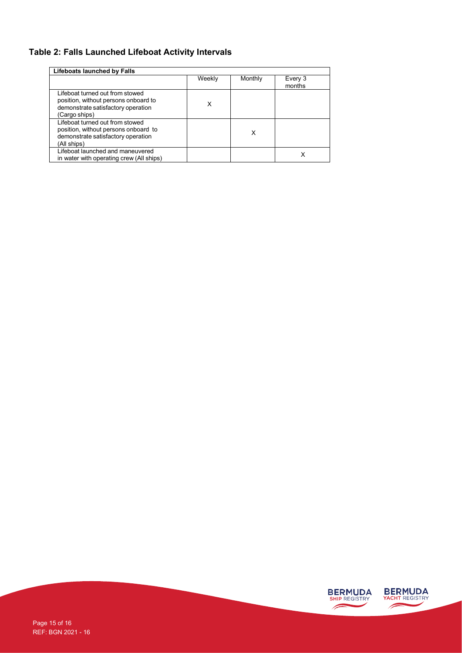# **Table 2: Falls Launched Lifeboat Activity Intervals**

| Lifeboats launched by Falls                                                                                                    |        |         |                   |  |  |
|--------------------------------------------------------------------------------------------------------------------------------|--------|---------|-------------------|--|--|
|                                                                                                                                | Weekly | Monthly | Every 3<br>months |  |  |
| Lifeboat turned out from stowed<br>position, without persons onboard to<br>demonstrate satisfactory operation<br>(Cargo ships) | x      |         |                   |  |  |
| Lifeboat turned out from stowed<br>position, without persons onboard to<br>demonstrate satisfactory operation<br>(All ships)   |        | x       |                   |  |  |
| Lifeboat launched and maneuvered<br>in water with operating crew (All ships)                                                   |        |         | x                 |  |  |